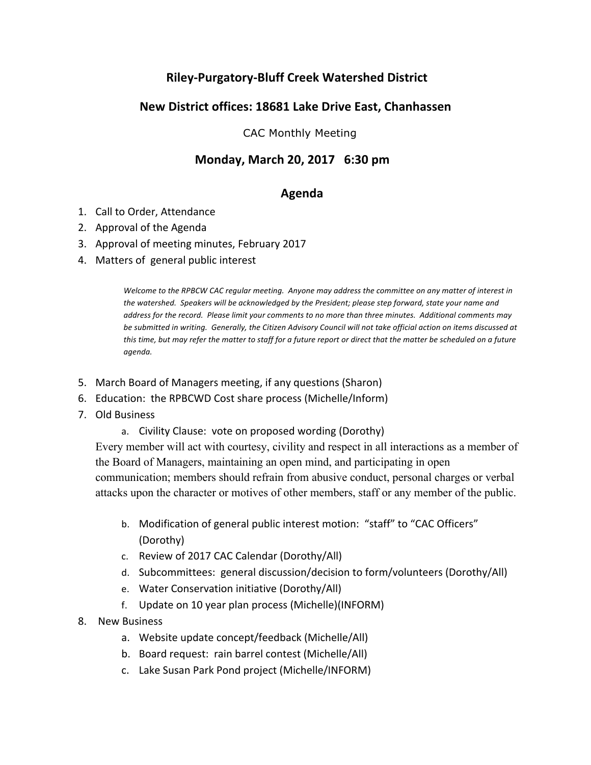# **Riley-Purgatory-Bluff Creek Watershed District**

## **New District offices: 18681 Lake Drive East, Chanhassen**

CAC Monthly Meeting

### **Monday, March 20, 2017 6:30 pm**

#### **Agenda**

- 1. Call to Order, Attendance
- 2. Approval of the Agenda
- 3. Approval of meeting minutes, February 2017
- 4. Matters of general public interest

*Welcome to the RPBCW CAC regular meeting. Anyone may address the committee on any matter of interest in* the watershed. Speakers will be acknowledged by the President; please step forward, state your name and *address for the record.* Please limit your comments to no more than three minutes. Additional comments may be submitted in writing. Generally, the Citizen Advisory Council will not take official action on items discussed at this time, but may refer the matter to staff for a future report or direct that the matter be scheduled on a future *agenda.*

- 5. March Board of Managers meeting, if any questions (Sharon)
- 6. Education: the RPBCWD Cost share process (Michelle/Inform)
- 7. Old Business
	- a. Civility Clause: vote on proposed wording (Dorothy)

Every member will act with courtesy, civility and respect in all interactions as a member of the Board of Managers, maintaining an open mind, and participating in open communication; members should refrain from abusive conduct, personal charges or verbal attacks upon the character or motives of other members, staff or any member of the public.

- b. Modification of general public interest motion: "staff" to "CAC Officers" (Dorothy)
- c. Review of 2017 CAC Calendar (Dorothy/All)
- d. Subcommittees: general discussion/decision to form/volunteers (Dorothy/All)
- e. Water Conservation initiative (Dorothy/All)
- f. Update on 10 year plan process (Michelle)(INFORM)
- 8. New Business
	- a. Website update concept/feedback (Michelle/All)
	- b. Board request: rain barrel contest (Michelle/All)
	- c. Lake Susan Park Pond project (Michelle/INFORM)